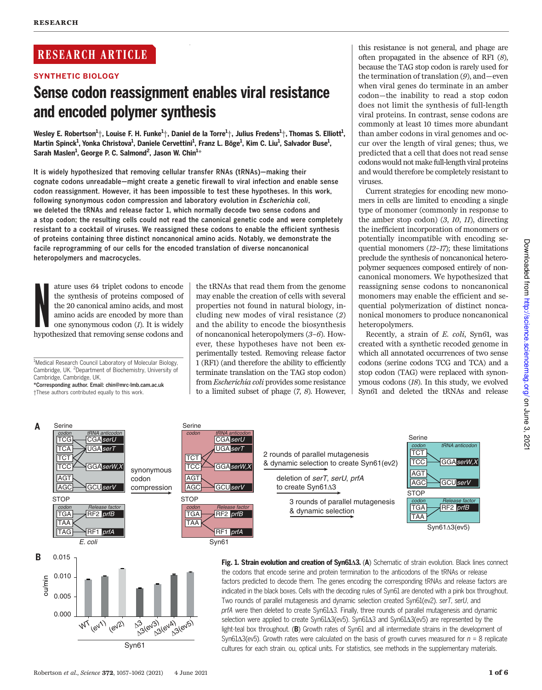# RESEARCH ARTICLE

SYNTHETIC BIOLOGY

# Sense codon reassignment enables viral resistance and encoded polymer synthesis

◥

Wesley E. Robertson $^1\!+$ , Louise F. H. Funke $^1\!+$ , Daniel de la Torre $^1\!+$ , Julius Fredens $^1\!+$ , Thomas S. Elliott $^1$ , Martin Spinck<sup>1</sup>, Yonka Christova<sup>1</sup>, Daniele Cervettini<sup>1</sup>, Franz L. Böge<sup>1</sup>, Kim C. Liu<sup>1</sup>, Salvador Buse<sup>1</sup>, Sarah Maslen<sup>1</sup>, George P. C. Salmond<sup>2</sup>, Jason W. Chin<sup>1\*</sup>

It is widely hypothesized that removing cellular transfer RNAs (tRNAs)—making their cognate codons unreadable—might create a genetic firewall to viral infection and enable sense codon reassignment. However, it has been impossible to test these hypotheses. In this work, following synonymous codon compression and laboratory evolution in Escherichia coli, we deleted the tRNAs and release factor 1, which normally decode two sense codons and a stop codon; the resulting cells could not read the canonical genetic code and were completely resistant to a cocktail of viruses. We reassigned these codons to enable the efficient synthesis of proteins containing three distinct noncanonical amino acids. Notably, we demonstrate the facile reprogramming of our cells for the encoded translation of diverse noncanonical heteropolymers and macrocycles.

N ature uses 64 triplet codons to encode the synthesis of proteins composed of the 20 canonical amino acids, and most amino acids are encoded by more than one synonymous codon (1). It is widely hypothesized that removing sense codons and

<sup>1</sup>Medical Research Council Laboratory of Molecular Biology, Cambridge, UK. <sup>2</sup>Department of Biochemistry, University of Cambridge, Cambridge, UK.

\*Corresponding author. Email: chin@mrc-lmb.cam.ac.uk †These authors contributed equally to this work.

the tRNAs that read them from the genome may enable the creation of cells with several properties not found in natural biology, including new modes of viral resistance (2) and the ability to encode the biosynthesis of noncanonical heteropolymers (3–6). However, these hypotheses have not been experimentally tested. Removing release factor 1 (RF1) (and therefore the ability to efficiently terminate translation on the TAG stop codon) from Escherichia coli provides some resistance to a limited subset of phage (7, 8). However,

this resistance is not general, and phage are often propagated in the absence of RF1 (8), because the TAG stop codon is rarely used for the termination of translation (9), and—even when viral genes do terminate in an amber codon—the inability to read a stop codon does not limit the synthesis of full-length viral proteins. In contrast, sense codons are commonly at least 10 times more abundant than amber codons in viral genomes and occur over the length of viral genes; thus, we predicted that a cell that does not read sense codons would not make full-length viral proteins and would therefore be completely resistant to viruses.

Current strategies for encoding new monomers in cells are limited to encoding a single type of monomer (commonly in response to the amber stop codon) (3, 10, 11), directing the inefficient incorporation of monomers or potentially incompatible with encoding sequential monomers (12–17); these limitations preclude the synthesis of noncanonical heteropolymer sequences composed entirely of noncanonical monomers. We hypothesized that reassigning sense codons to noncanonical monomers may enable the efficient and sequential polymerization of distinct noncanonical monomers to produce noncanonical heteropolymers.

Recently, a strain of E. coli, Syn61, was created with a synthetic recoded genome in which all annotated occurrences of two sense codons (serine codons TCG and TCA) and a stop codon (TAG) were replaced with synonymous codons (18). In this study, we evolved Syn61 and deleted the tRNAs and release



Downloaded from http://science.sciencemag.org/ on June 3, 2021



selection were applied to create Syn6143(ev5). Syn6143 and Syn6143(ev5) are represented by the light-teal box throughout. (B) Growth rates of Syn61 and all intermediate strains in the development of Syn61 $\Delta$ 3(ev5). Growth rates were calculated on the basis of growth curves measured for  $n = 8$  replicate cultures for each strain. ou, optical units. For statistics, see methods in the supplementary materials.

Syn61

13(ev3) ev4) (ev5)

WT (ev1) (ev2)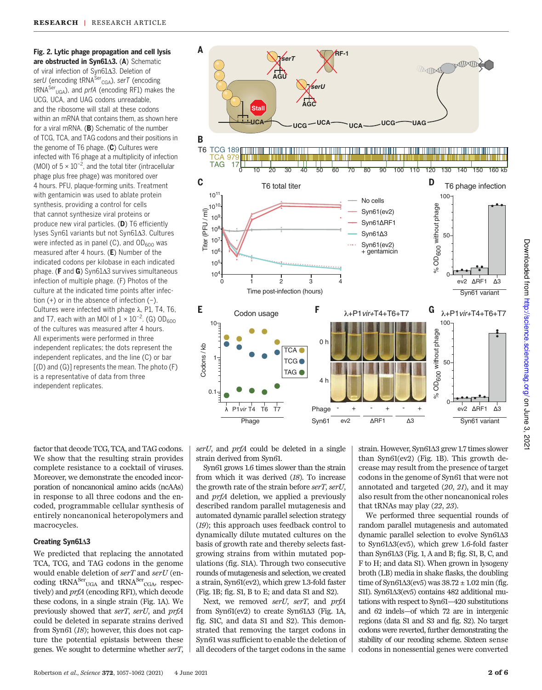Fig. 2. Lytic phage propagation and cell lysis are obstructed in Syn61 $\Delta$ 3. (A) Schematic of viral infection of Syn6143. Deletion of *serU* (encoding tRNASer CGA), *serT* (encoding tRNASer UGA), and *prfA* (encoding RF1) makes the UCG, UCA, and UAG codons unreadable, and the ribosome will stall at these codons within an mRNA that contains them, as shown here for a viral mRNA. (B) Schematic of the number of TCG, TCA, and TAG codons and their positions in the genome of T6 phage. (C) Cultures were infected with T6 phage at a multiplicity of infection (MOI) of  $5 \times 10^{-2}$ , and the total titer (intracellular phage plus free phage) was monitored over 4 hours. PFU, plaque-forming units. Treatment with gentamicin was used to ablate protein synthesis, providing a control for cells that cannot synthesize viral proteins or produce new viral particles. (D) T6 efficiently lyses Syn61 variants but not Syn6143. Cultures were infected as in panel (C), and  $OD_{600}$  was measured after 4 hours. (E) Number of the indicated codons per kilobase in each indicated phage. (**F** and **G**) Syn61 $\Delta$ 3 survives simultaneous infection of multiple phage. (F) Photos of the culture at the indicated time points after infection (+) or in the absence of infection (−). Cultures were infected with phage  $\lambda$ , P1, T4, T6, and T7, each with an MOI of  $1 \times 10^{-2}$ . (G) OD<sub>600</sub> of the cultures was measured after 4 hours. All experiments were performed in three independent replicates; the dots represent the independent replicates, and the line (C) or bar [(D) and (G)] represents the mean. The photo (F) is a representative of data from three independent replicates.

factor that decode TCG, TCA, and TAG codons. We show that the resulting strain provides complete resistance to a cocktail of viruses. Moreover, we demonstrate the encoded incorporation of noncanonical amino acids (ncAAs) in response to all three codons and the encoded, programmable cellular synthesis of entirely noncanonical heteropolymers and macrocycles.

## Creating Syn61 $\triangle$ 3

We predicted that replacing the annotated TCA, TCG, and TAG codons in the genome would enable deletion of serT and serU (encoding  $tRNA^{Ser}$ <sub>UGA</sub> and  $tRNA^{Ser}$ <sub>CGA</sub>, respectively) and prfA (encoding RF1), which decode these codons, in a single strain (Fig. 1A). We previously showed that serT, serU, and prfA could be deleted in separate strains derived from Syn61 (18); however, this does not capture the potential epistasis between these genes. We sought to determine whether serT,



serU, and prfA could be deleted in a single strain derived from Syn61.

Syn61 grows 1.6 times slower than the strain from which it was derived (18). To increase the growth rate of the strain before serT, serU, and prfA deletion, we applied a previously described random parallel mutagenesis and automated dynamic parallel selection strategy (19); this approach uses feedback control to dynamically dilute mutated cultures on the basis of growth rate and thereby selects fastgrowing strains from within mutated populations (fig. S1A). Through two consecutive rounds of mutagenesis and selection, we created a strain, Syn61(ev2), which grew 1.3-fold faster (Fig. 1B; fig. S1, B to E; and data S1 and S2).

Next, we removed serU, serT, and prfA from Syn61(ev2) to create Syn61 $\Delta$ 3 (Fig. 1A, fig. S1C, and data S1 and S2). This demonstrated that removing the target codons in Syn61 was sufficient to enable the deletion of all decoders of the target codons in the same strain. However, Syn61 $\Delta 3$  grew 1.7 times slower than Syn61(ev2) (Fig. 1B). This growth decrease may result from the presence of target codons in the genome of Syn61 that were not annotated and targeted (20, 21), and it may also result from the other noncanonical roles that tRNAs may play (22, 23).

We performed three sequential rounds of random parallel mutagenesis and automated dynamic parallel selection to evolve Syn61 $\Delta3$ to Syn61 $\Delta$ 3(ev5), which grew 1.6-fold faster than Syn $61\Delta3$  (Fig. 1, A and B; fig. S1, B, C, and F to H; and data S1). When grown in lysogeny broth (LB) media in shake flasks, the doubling time of Syn61 $\Delta$ 3(ev5) was 38.72  $\pm$  1.02 min (fig. S1I). Syn61 $\Delta$ 3(ev5) contains 482 additional mutations with respect to Syn61—420 substitutions and 62 indels—of which 72 are in intergenic regions (data S1 and S3 and fig. S2). No target codons were reverted, further demonstrating the stability of our recoding scheme. Sixteen sense codons in nonessential genes were converted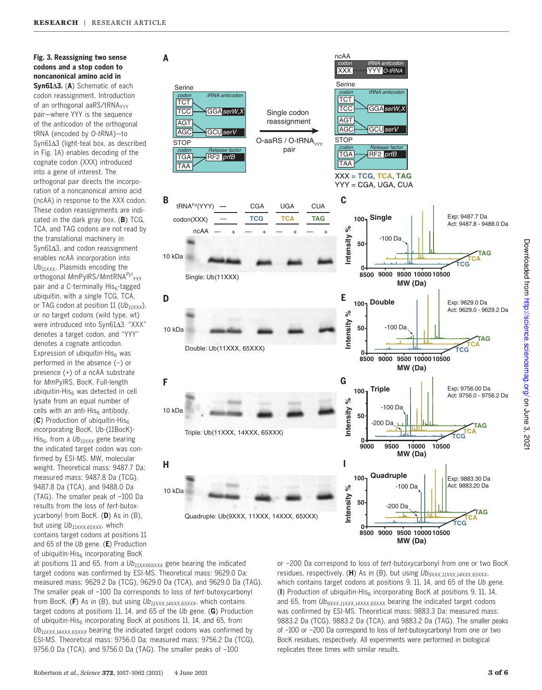# Fig. 3. Reassigning two sense codons and a stop codon to noncanonical amino acid in

 $Syn61\Delta3.$  (A) Schematic of each codon reassignment. Introduction of an orthogonal aaRS/tRNA<sub>YYY</sub> pair—where YYY is the sequence of the anticodon of the orthogonal tRNA (encoded by *O-tRNA*)—to  $Syn61\Delta3$  (light-teal box, as described in Fig. 1A) enables decoding of the cognate codon (XXX) introduced into a gene of interest. The orthogonal pair directs the incorporation of a noncanonical amino acid (ncAA) in response to the XXX codon. These codon reassignments are indicated in the dark gray box.  $(B)$  TCG, TCA, and TAG codons are not read by the translational machinery in  $Syn61\Delta3$ , and codon reassignment enables ncAA incorporation into  $Ub_{11XXX}$ . Plasmids encoding the orthogonal *Mm*PyIRS/*Mm*tRNA<sup>*Pyl*</sup><sub>YYY</sub> pair and a C-terminally His<sub>6</sub>-tagged ubiquitin, with a single TCG, TCA, or TAG codon at position 11 (*Ub11XXX*), or no target codons (wild type, wt) were introduced into Syn6143. "XXX" denotes a target codon, and "YYY" denotes a cognate anticodon. Expression of ubiquitin-His $6$  was performed in the absence (−) or presence (+) of a ncAA substrate for *Mm*PylRS, BocK. Full-length ubiquitin-His $6$  was detected in cell lysate from an equal number of cells with an anti-His $_6$  antibody. (C) Production of ubiquitin-His $_6$ incorporating BocK, Ub-(11BocK)- His6, from a *Ub11XXX* gene bearing the indicated target codon was confirmed by ESI-MS. MW, molecular weight. Theoretical mass: 9487.7 Da; measured mass: 9487.8 Da (TCG), 9487.8 Da (TCA), and 9488.0 Da (TAG). The smaller peak of −100 Da results from the loss of *tert*-butoxycarbonyl from BocK. (D) As in (B), but using *Ub11XXX,65XXX*, which contains target codons at positions 11 and 65 of the *Ub* gene. (E) Production of ubiquitin-His<sub>6</sub> incorporating BocK



at positions 11 and 65, from a *Ub11XXX65XXX* gene bearing the indicated target codons was confirmed by ESI-MS. Theoretical mass: 9629.0 Da; measured mass: 9629.2 Da (TCG), 9629.0 Da (TCA), and 9629.0 Da (TAG). The smaller peak of −100 Da corresponds to loss of *tert*-butoxycarbonyl from BocK. (F) As in (B), but using *Ub11XXX,14XXX,65XXX*, which contains target codons at positions 11, 14, and 65 of the *Ub* gene. (G) Production of ubiquitin-His $_{\rm 6}$  incorporating BocK at positions 11, 14, and 65, from *Ub11XXX,14XXX,65XXX* bearing the indicated target codons was confirmed by ESI-MS. Theoretical mass: 9756.0 Da; measured mass: 9756.2 Da (TCG), 9756.0 Da (TCA), and 9756.0 Da (TAG). The smaller peaks of −100

or −200 Da correspond to loss of *tert*-butoxycarbonyl from one or two BocK residues, respectively. (H) As in (B), but using  $Ub_{9XXX,11XXX,14XXX,65XXX}$ , which contains target codons at positions 9, 11, 14, and 65 of the *Ub* gene. (I) Production of ubiquitin-His $_6$  incorporating BocK at positions 9, 11, 14, and 65, from *Ub9XXX,11XXX,14XXX,65XXX* bearing the indicated target codons was confirmed by ESI-MS. Theoretical mass: 9883.3 Da; measured mass: 9883.2 Da (TCG), 9883.2 Da (TCA), and 9883.2 Da (TAG). The smaller peaks of −100 or −200 Da correspond to loss of *tert*-butoxycarbonyl from one or two BocK residues, respectively. All experiments were performed in biological replicates three times with similar results.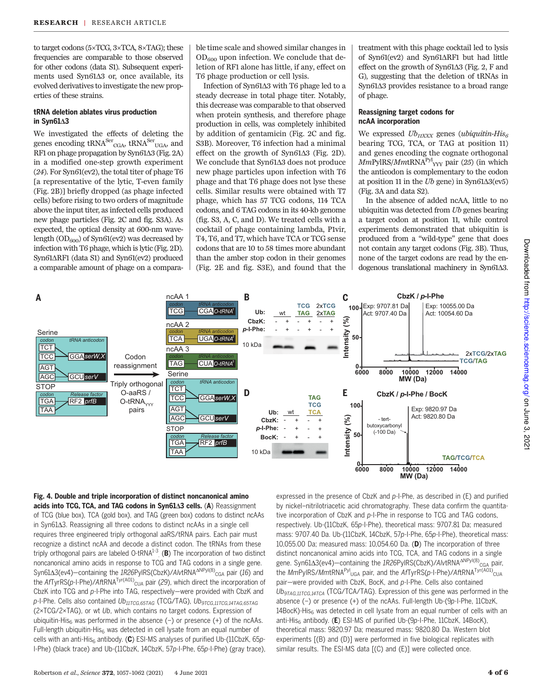to target codons (5×TCG, 3×TCA, 8×TAG); these frequencies are comparable to those observed for other codons (data S1). Subsequent experiments used Syn61 $\Delta$ 3 or, once available, its evolved derivatives to investigate the new properties of these strains.

## tRNA deletion ablates virus production in Syn61 $\triangle$ 3

We investigated the effects of deleting the genes encoding tRNA<sup>Ser</sup><sub>CGA</sub>, tRNA<sup>Ser</sup><sub>UGA</sub>, and RF1 on phage propagation by Syn61 $\Delta$ 3 (Fig. 2A) in a modified one-step growth experiment (24). For Syn61(ev2), the total titer of phage T6 [a representative of the lytic, T-even family (Fig. 2B)] briefly dropped (as phage infected cells) before rising to two orders of magnitude above the input titer, as infected cells produced new phage particles (Fig. 2C and fig. S3A). As expected, the optical density at 600-nm wavelength  $OD_{600}$ ) of Syn61(ev2) was decreased by infection with T6 phage, which is lytic (Fig. 2D). Syn61 $\triangle$ RF1 (data S1) and Syn61(ev2) produced a comparable amount of phage on a compara-

ble time scale and showed similar changes in  $OD_{600}$  upon infection. We conclude that deletion of RF1 alone has little, if any, effect on T6 phage production or cell lysis.

Infection of Syn61∆3 with T6 phage led to a steady decrease in total phage titer. Notably, this decrease was comparable to that observed when protein synthesis, and therefore phage production in cells, was completely inhibited by addition of gentamicin (Fig. 2C and fig. S3B). Moreover, T6 infection had a minimal effect on the growth of Syn61 $\Delta$ 3 (Fig. 2D). We conclude that Syn61 $\Delta$ 3 does not produce new phage particles upon infection with T6 phage and that T6 phage does not lyse these cells. Similar results were obtained with T7 phage, which has 57 TCG codons, 114 TCA codons, and 6 TAG codons in its 40-kb genome (fig. S3, A, C, and D). We treated cells with a cocktail of phage containing lambda, P1vir, T4, T6, and T7, which have TCA or TCG sense codons that are 10 to 58 times more abundant than the amber stop codon in their genomes (Fig. 2E and fig. S3E), and found that the

treatment with this phage cocktail led to lysis of Syn $61$ (ev2) and Syn $61\triangle R$ F1 but had little effect on the growth of Syn61 $\Delta$ 3 (Fig. 2, F and G), suggesting that the deletion of tRNAs in Syn $61\Delta3$  provides resistance to a broad range of phage.

## Reassigning target codons for ncAA incorporation

We expressed  $Ub_{\text{IIXXX}}$  genes (ubiquitin-His $_6$ bearing TCG, TCA, or TAG at position 11) and genes encoding the cognate orthogonal  $Mm$ PylRS/ $Mm$ tRNA $_{\rm YYY}^{\rm Pyl}$  pair (25) (in which the anticodon is complementary to the codon at position 11 in the  $Ub$  gene) in Syn61 $\Delta$ 3(ev5) (Fig. 3A and data S2).

In the absence of added ncAA, little to no ubiquitin was detected from Ub genes bearing a target codon at position 11, while control experiments demonstrated that ubiquitin is produced from a "wild-type" gene that does not contain any target codons (Fig. 3B). Thus, none of the target codons are read by the endogenous translational machinery in Syn61 $\Delta$ 3.



Downloaded from http://science.sciencemag.org/ on June 3, 202 Downloaded from http://science.sciencemag.org/ on June 3, 2021

Fig. 4. Double and triple incorporation of distinct noncanonical amino acids into TCG, TCA, and TAG codons in Syn61A3 cells. (A) Reassignment of TCG (blue box), TCA (gold box), and TAG (green box) codons to distinct ncAAs  $\sin$  Syn61 $\Delta$ 3. Reassigning all three codons to distinct ncAAs in a single cell requires three engineered triply orthogonal aaRS/tRNA pairs. Each pair must recognize a distinct ncAA and decode a distinct codon. The tRNAs from these triply orthogonal pairs are labeled O-tRNA $^{1\text{-}3}$  (B) The incorporation of two distinct noncanonical amino acids in response to TCG and TAG codons in a single gene. Syn61∆3(ev4)—containing the *1R26PylRS(CbzK)/AlvtRNA<sup>ANPyl(8)</sup>cGA pair (16)* and the *Af*TyrRS(*p*-I-Phe)/AftRNA<sup>Tyr(A01)</sup><sub>CUA</sub> pair (*2*9), which direct the incorporation of CbzK into TCG and *p*-I-Phe into TAG, respectively—were provided with CbzK and *p*-I-Phe. Cells also contained *Ub11TCG,65TAG* (TCG/TAG), *Ub9TCG,11TCG,14TAG,65TAG* (2×TCG/2×TAG), or wt *Ub*, which contains no target codons. Expression of ubiquitin-His<sub>6</sub> was performed in the absence (−) or presence (+) of the ncAAs. Full-length ubiquitin-His $_6$  was detected in cell lysate from an equal number of cells with an anti-His<sub>6</sub> antibody. (C) ESI-MS analyses of purified Ub-(11CbzK, 65p-I-Phe) (black trace) and Ub-(11CbzK, 14CbzK, 57*p*-I-Phe, 65*p*-I-Phe) (gray trace),

expressed in the presence of CbzK and *p*-I-Phe, as described in (E) and purified by nickel–nitrilotriacetic acid chromatography. These data confirm the quantitative incorporation of CbzK and *p*-I-Phe in response to TCG and TAG codons, respectively. Ub-(11CbzK, 65*p*-I-Phe), theoretical mass: 9707.81 Da; measured mass: 9707.40 Da. Ub-(11CbzK, 14CbzK, 57*p*-I-Phe, 65*p*-I-Phe), theoretical mass: 10,055.00 Da; measured mass: 10,054.60 Da. (D) The incorporation of three distinct noncanonical amino acids into TCG, TCA, and TAG codons in a single gene. Syn61∆3(ev4)—containing the 1R26PylRS(CbzK)/AlvtRNA<sup>∆NPyl(8)</sup><sub>CGA</sub> pair, the MmPyIRS/MmtRNA<sup>Pyl</sup>ug<sub>A</sub> pair, and the AfTyrRS(p-I-Phe)/AftRNA<sup>Tyr(A01)</sup>cua pair—were provided with CbzK, BocK, and *p*-I-Phe. Cells also contained *Ub9TAG,11TCG,14TCA* (TCG/TCA/TAG). Expression of this gene was performed in the absence (−) or presence (+) of the ncAAs. Full-length Ub-(9*p*-I-Phe, 11CbzK,  $14 \text{Bock}$ )-His<sub>6</sub> was detected in cell lysate from an equal number of cells with an anti-His<sub>6</sub> antibody. (E) ESI-MS of purified Ub-(9p-I-Phe, 11CbzK, 14BocK), theoretical mass: 9820.97 Da; measured mass: 9820.80 Da. Western blot experiments [(B) and (D)] were performed in five biological replicates with similar results. The ESI-MS data [(C) and (E)] were collected once.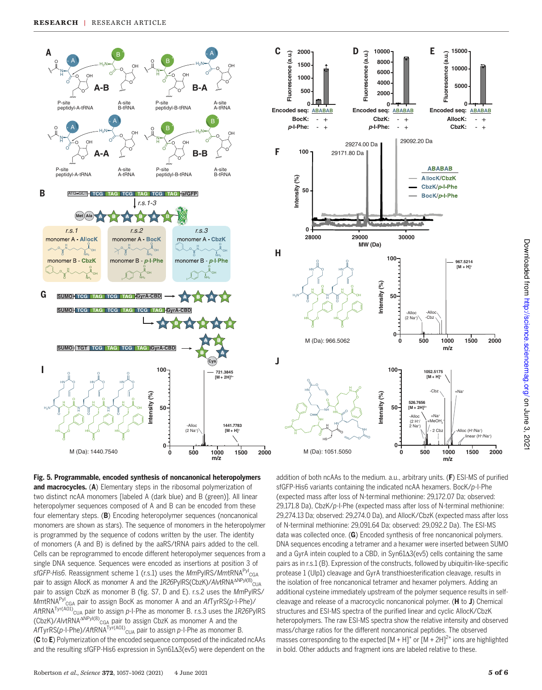

Fig. 5. Programmable, encoded synthesis of noncanonical heteropolymers and macrocycles. (A) Elementary steps in the ribosomal polymerization of two distinct ncAA monomers [labeled A (dark blue) and B (green)]. All linear heteropolymer sequences composed of A and B can be encoded from these four elementary steps. (B) Encoding heteropolymer sequences (noncanonical monomers are shown as stars). The sequence of monomers in the heteropolymer is programmed by the sequence of codons written by the user. The identity of monomers (A and B) is defined by the aaRS/tRNA pairs added to the cell. Cells can be reprogrammed to encode different heteropolymer sequences from a single DNA sequence. Sequences were encoded as insertions at position 3 of *sfGFP-His6*. Reassignment scheme 1 (r.s.1) uses the *Mm*PylRS/*Mm*tRNAPyl CGA pair to assign AllocK as monomer A and the *1R26PyIRS(CbzK)/AlvtRNA<sup>ANPyl(8)</sup>*CuA pair to assign CbzK as monomer B (fig. S7, D and E). r.s.2 uses the *Mm*PylRS/ *Mm*tRNAPyl CGA pair to assign BocK as monomer A and an *Af*TyrRS(*p*-I-Phe)/ *Af*tRNATyr(A01) CUA pair to assign *p*-I-Phe as monomer B. r.s.3 uses the *1R26*PylRS (CbzK)/AlvtRNA<sup>ANPyl(8)</sup><sub>CGA</sub> pair to assign CbzK as monomer A and the *Af*TyrRS(*p*-I-Phe)/*Af*tRNATyr(A01) CUA pair to assign *p*-I-Phe as monomer B. (C to E) Polymerization of the encoded sequence composed of the indicated ncAAs and the resulting sfGFP-His6 expression in  $Syn61\Delta3$ (ev5) were dependent on the addition of both ncAAs to the medium. a.u., arbitrary units. (F) ESI-MS of purified sfGFP-His6 variants containing the indicated ncAA hexamers. BocK/*p*-I-Phe (expected mass after loss of N-terminal methionine: 29,172.07 Da; observed: 29,171.8 Da), CbzK/*p*-I-Phe (expected mass after loss of N-terminal methionine: 29,274.13 Da; observed: 29,274.0 Da), and AllocK/CbzK (expected mass after loss of N-terminal methionine: 29,091.64 Da; observed: 29,092.2 Da). The ESI-MS data was collected once. (G) Encoded synthesis of free noncanonical polymers. DNA sequences encoding a tetramer and a hexamer were inserted between SUMO and a GyrA intein coupled to a CBD, in Syn61 $\Delta$ 3(ev5) cells containing the same pairs as in r.s.1 (B). Expression of the constructs, followed by ubiquitin-like-specific protease 1 (Ulp1) cleavage and GyrA transthioesterification cleavage, results in the isolation of free noncanonical tetramer and hexamer polymers. Adding an additional cysteine immediately upstream of the polymer sequence results in selfcleavage and release of a macrocyclic noncanonical polymer. (H to J) Chemical structures and ESI-MS spectra of the purified linear and cyclic AllocK/CbzK heteropolymers. The raw ESI-MS spectra show the relative intensity and observed mass/charge ratios for the different noncanonical peptides. The observed masses corresponding to the expected  $[M + H]$ <sup>+</sup> or  $[M + 2H]$ <sup>2+</sup> ions are highlighted in bold. Other adducts and fragment ions are labeled relative to these.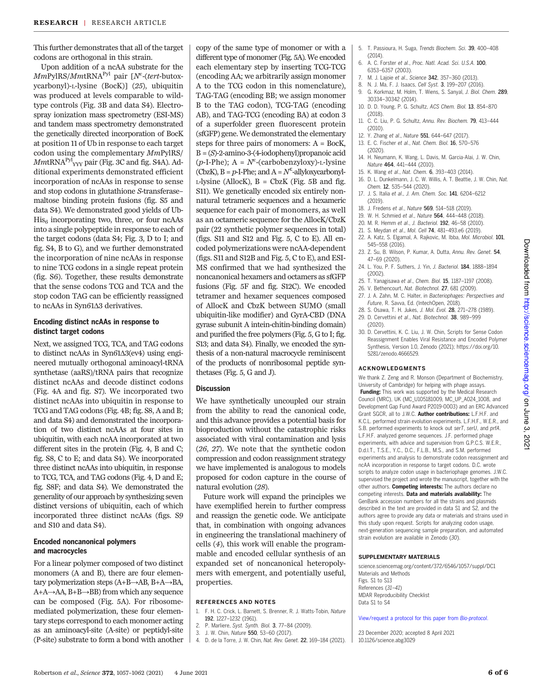This further demonstrates that all of the target codons are orthogonal in this strain.

Upon addition of a ncAA substrate for the MmPylRS/MmtRNA<sup>Pyl</sup> pair [N<sup>e</sup>-(tert-butoxycarbonyl)-L-lysine (BocK)] (25), ubiquitin was produced at levels comparable to wildtype controls (Fig. 3B and data S4). Electrospray ionization mass spectrometry (ESI-MS) and tandem mass spectrometry demonstrated the genetically directed incorporation of BocK at position 11 of Ub in response to each target codon using the complementary MmPylRS/  $\mathit{MmtRNA}^{\mathrm{Pyl}}_{\mathrm{YYY}}$  pair (Fig. 3C and fig. S4A). Additional experiments demonstrated efficient incorporation of ncAAs in response to sense and stop codons in glutathione S-transferase– maltose binding protein fusions (fig. S5 and data S4). We demonstrated good yields of Ub- $His<sub>6</sub> incorporating two, three, or four ncAAs$ into a single polypeptide in response to each of the target codons (data S4; Fig. 3, D to I; and fig. S4, B to G), and we further demonstrated the incorporation of nine ncAAs in response to nine TCG codons in a single repeat protein (fig. S6). Together, these results demonstrate that the sense codons TCG and TCA and the stop codon TAG can be efficiently reassigned to ncAAs in Syn61 $\Delta$ 3 derivatives.

#### Encoding distinct ncAAs in response to distinct target codons

Next, we assigned TCG, TCA, and TAG codons to distinct ncAAs in  $Syn61\Delta3$ (ev4) using engineered mutually orthogonal aminoacyl-tRNA synthetase (aaRS)/tRNA pairs that recognize distinct ncAAs and decode distinct codons (Fig. 4A and fig. S7). We incorporated two distinct ncAAs into ubiquitin in response to TCG and TAG codons (Fig. 4B; fig. S8, A and B; and data S4) and demonstrated the incorporation of two distinct ncAAs at four sites in ubiquitin, with each ncAA incorporated at two different sites in the protein (Fig. 4, B and C; fig. S8, C to E; and data S4). We incorporated three distinct ncAAs into ubiquitin, in response to TCG, TCA, and TAG codons (Fig. 4, D and E; fig. S8F; and data S4). We demonstrated the generality of our approach by synthesizing seven distinct versions of ubiquitin, each of which incorporated three distinct ncAAs (figs. S9 and S10 and data S4).

## Encoded noncanonical polymers and macrocycles

For a linear polymer composed of two distinct monomers (A and B), there are four elementary polymerization steps (A+B→AB, B+A→BA, A+A→AA, B+B→BB) from which any sequence can be composed (Fig. 5A). For ribosomemediated polymerization, these four elementary steps correspond to each monomer acting as an aminoacyl-site (A-site) or peptidyl-site (P-site) substrate to form a bond with another

copy of the same type of monomer or with a different type of monomer (Fig. 5A). We encoded each elementary step by inserting TCG-TCG (encoding AA; we arbitrarily assign monomer A to the TCG codon in this nomenclature), TAG-TAG (encoding BB; we assign monomer B to the TAG codon), TCG-TAG (encoding AB), and TAG-TCG (encoding BA) at codon 3 of a superfolder green fluorescent protein (sfGFP) gene. We demonstrated the elementary steps for three pairs of monomers: A = BocK, B=(S)-2-amino-3-(4-iodophenyl)propanoic acid  $(p-I-Phe)$ ; A =  $N^e$ -(carbobenzyloxy)-L-lysine (CbzK),  $B = p$ -I-Phe; and  $A = N^{\epsilon}$ -allyloxycarbonyl- $L$ -lysine (AllocK),  $B = CbzK$  (Fig. 5B and fig. S11). We genetically encoded six entirely nonnatural tetrameric sequences and a hexameric sequence for each pair of monomers, as well as an octameric sequence for the AllocK/CbzK pair (22 synthetic polymer sequences in total) (figs. S11 and S12 and Fig. 5, C to E). All encoded polymerizations were ncAA-dependent (figs. S11 and S12B and Fig. 5, C to E), and ESI-MS confirmed that we had synthesized the noncanonical hexamers and octamers as sfGFP fusions (Fig. 5F and fig. S12C). We encoded tetramer and hexamer sequences composed of AllocK and CbzK between SUMO (small ubiquitin-like modifier) and GyrA-CBD (DNA gyrase subunit A intein-chitin-binding domain) and purified the free polymers (Fig. 5, G to I; fig. S13; and data S4). Finally, we encoded the synthesis of a non-natural macrocycle reminiscent of the products of nonribosomal peptide synthetases (Fig. 5, G and J).

## **Discussion**

We have synthetically uncoupled our strain from the ability to read the canonical code, and this advance provides a potential basis for bioproduction without the catastrophic risks associated with viral contamination and lysis (26, 27). We note that the synthetic codon compression and codon reassignment strategy we have implemented is analogous to models proposed for codon capture in the course of natural evolution (28).

Future work will expand the principles we have exemplified herein to further compress and reassign the genetic code. We anticipate that, in combination with ongoing advances in engineering the translational machinery of cells (4), this work will enable the programmable and encoded cellular synthesis of an expanded set of noncanonical heteropolymers with emergent, and potentially useful, properties.

#### REFERENCES AND NOTES

- 1. F. H. C. Crick, L. Barnett, S. Brenner, R. J. Watts-Tobin, *Nature* 192, 1227–1232 (1961).
- 2. P. Marliere, *Syst. Synth. Biol.* 3, 77–84 (2009).
- 3. J. W. Chin, *Nature* 550, 53–60 (2017).
- 4. D. de la Torre, J. W. Chin, *Nat. Rev. Genet.* 22, 169–184 (2021).
- 5. T. Passioura, H. Suga, *Trends Biochem. Sci.* 39, 400–408 (2014).
- 6. A. C. Forster *et al*., *Proc. Natl. Acad. Sci. U.S.A.* 100, 6353–6357 (2003).
- 7. M. J. Lajoie *et al*., *Science* 342, 357–360 (2013).
- 8. N. J. Ma, F. J. Isaacs, *Cell Syst.* 3, 199–207 (2016). 9. G. Korkmaz, M. Holm, T. Wiens, S. Sanyal, *J. Biol. Chem.* 289,
- 30334–30342 (2014). 10. D. D. Young, P. G. Schultz, *ACS Chem. Biol.* 13, 854–870
- (2018). 11. C. C. Liu, P. G. Schultz, *Annu. Rev. Biochem.* 79, 413–444
- (2010).
- 12. Y. Zhang *et al*., *Nature* 551, 644–647 (2017).
- 13. E. C. Fischer *et al*., *Nat. Chem. Biol.* 16, 570–576 (2020).
- 14. H. Neumann, K. Wang, L. Davis, M. Garcia-Alai, J. W. Chin, *Nature* 464, 441–444 (2010).
- 15. K. Wang *et al*., *Nat. Chem.* 6, 393–403 (2014).
- 16. D. L. Dunkelmann, J. C. W. Willis, A. T. Beattie, J. W. Chin, *Nat. Chem.* 12, 535–544 (2020).
- 17. J. S. Italia *et al*., *J. Am. Chem. Soc.* 141, 6204–6212 (2019).
- 18. J. Fredens *et al*., *Nature* 569, 514–518 (2019).
- 19. W. H. Schmied *et al*., *Nature* 564, 444–448 (2018).
- 20. M. R. Hemm *et al*., *J. Bacteriol.* 192, 46–58 (2010).
- 21. S. Meydan *et al*., *Mol. Cell* 74, 481–493.e6 (2019).
- 22. A. Katz, S. Elgamal, A. Rajkovic, M. Ibba, *Mol. Microbiol.* 101, 545–558 (2016).
- 23. Z. Su, B. Wilson, P. Kumar, A. Dutta, *Annu. Rev. Genet.* 54, 47–69 (2020).
- 24. L. You, P. F. Suthers, J. Yin, *J. Bacteriol.* 184, 1888–1894 (2002).
- 25. T. Yanagisawa *et al*., *Chem. Biol.* 15, 1187–1197 (2008).
- 26. V. Bethencourt, *Nat. Biotechnol.* 27, 681 (2009).
- 27. J. A. Zahn, M. C. Halter, in *Bacteriophages: Perspectives and Future*, R. Savva, Ed. (IntechOpen, 2018).
- 28. S. Osawa, T. H. Jukes, *J. Mol. Evol.* 28, 271–278 (1989). 29. D. Cervettini *et al*., *Nat. Biotechnol.* 38, 989–999
- (2020). 30. D. Cervettini, K. C. Liu, J. W. Chin, Scripts for Sense Codon
- Reassignment Enables Viral Resistance and Encoded Polymer Synthesis, Version 1.0, Zenodo (2021); https://doi.org/10. 5281/zenodo.4666529.

#### ACKNOWLEDGMENTS

We thank Z. Zeng and R. Monson (Department of Biochemistry, University of Cambridge) for helping with phage assays. Funding: This work was supported by the Medical Research Council (MRC), UK (MC\_U105181009, MC\_UP\_A024\_1008, and Development Gap Fund Award P2019-0003) and an ERC Advanced Grant SGCR, all to J.W.C. Author contributions: L.F.H.F. and K.C.L. performed strain evolution experiments. L.F.H.F., W.E.R., and S.B. performed experiments to knock out *serT*, *serU*, and *prfA*. L.F.H.F. analyzed genome sequences. J.F. performed phage experiments, with advice and supervision from G.P.C.S. W.E.R., D.d.l.T., T.S.E., Y.C., D.C., F.L.B., M.S., and S.M. performed experiments and analysis to demonstrate codon reassignment and ncAA incorporation in response to target codons. D.C. wrote scripts to analyze codon usage in bacteriophage genomes. J.W.C. supervised the project and wrote the manuscript, together with the other authors. Competing interests: The authors declare no competing interests. Data and materials availability: The GenBank accession numbers for all the strains and plasmids described in the text are provided in data S1 and S2, and the authors agree to provide any data or materials and strains used in this study upon request. Scripts for analyzing codon usage, next-generation sequencing sample preparation, and automated strain evolution are available in Zenodo (*30*).

#### SUPPLEMENTARY MATERIALS

science.sciencemag.org/content/372/6546/1057/suppl/DC1 Materials and Methods Figs. S1 to S13 References (*31*–*41*) MDAR Reproducibility Checklist Data S1 to S4

View/request a protocol for this paper from *Bio-protocol*.

23 December 2020; accepted 8 April 2021 10.1126/science.abg3029